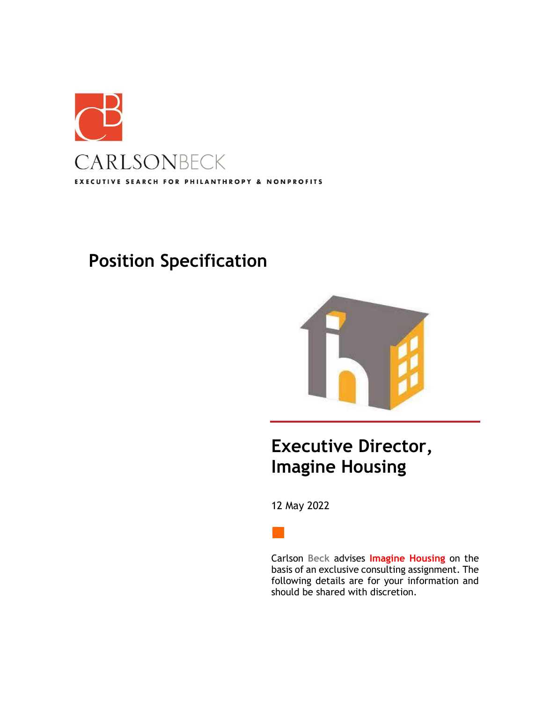

# **Position Specification**



## **Executive Director, Imagine Housing**

12 May 2022



Carlson **Beck** advises **Imagine Housing** on the basis of an exclusive consulting assignment. The following details are for your information and should be shared with discretion.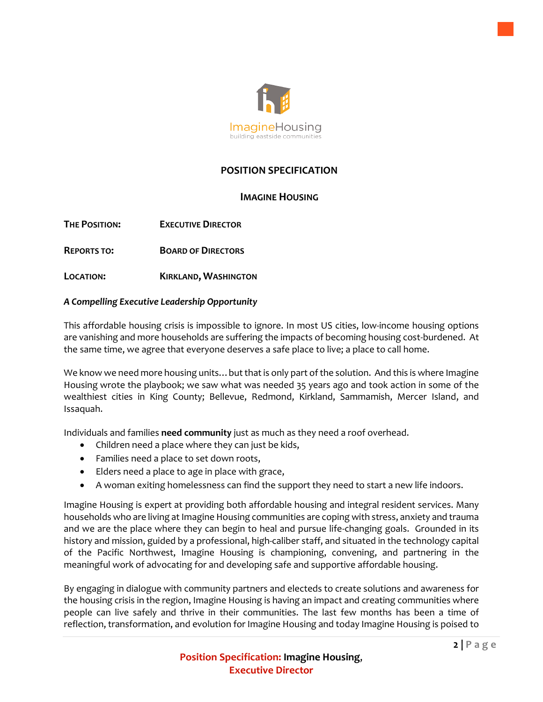

## **POSITION SPECIFICATION**

## **IMAGINE HOUSING**

**THE POSITION: EXECUTIVE DIRECTOR**

**REPORTS TO: BOARD OF DIRECTORS**

**LOCATION: KIRKLAND, WASHINGTON**

#### *A Compelling Executive Leadership Opportunity*

This affordable housing crisis is impossible to ignore. In most US cities, low-income housing options are vanishing and more households are suffering the impacts of becoming housing cost-burdened. At the same time, we agree that everyone deserves a safe place to live; a place to call home.

We know we need more housing units…but that is only part of the solution. And this is where Imagine Housing wrote the playbook; we saw what was needed 35 years ago and took action in some of the wealthiest cities in King County; Bellevue, Redmond, Kirkland, Sammamish, Mercer Island, and Issaquah.

Individuals and families **need community** just as much as they need a roof overhead.

- Children need a place where they can just be kids,
- Families need a place to set down roots,
- Elders need a place to age in place with grace,
- A woman exiting homelessness can find the support they need to start a new life indoors.

Imagine Housing is expert at providing both affordable housing and integral resident services. Many households who are living at Imagine Housing communities are coping with stress, anxiety and trauma and we are the place where they can begin to heal and pursue life-changing goals. Grounded in its history and mission, guided by a professional, high-caliber staff, and situated in the technology capital of the Pacific Northwest, Imagine Housing is championing, convening, and partnering in the meaningful work of advocating for and developing safe and supportive affordable housing.

By engaging in dialogue with community partners and electeds to create solutions and awareness for the housing crisis in the region, Imagine Housing is having an impact and creating communities where people can live safely and thrive in their communities. The last few months has been a time of reflection, transformation, and evolution for Imagine Housing and today Imagine Housing is poised to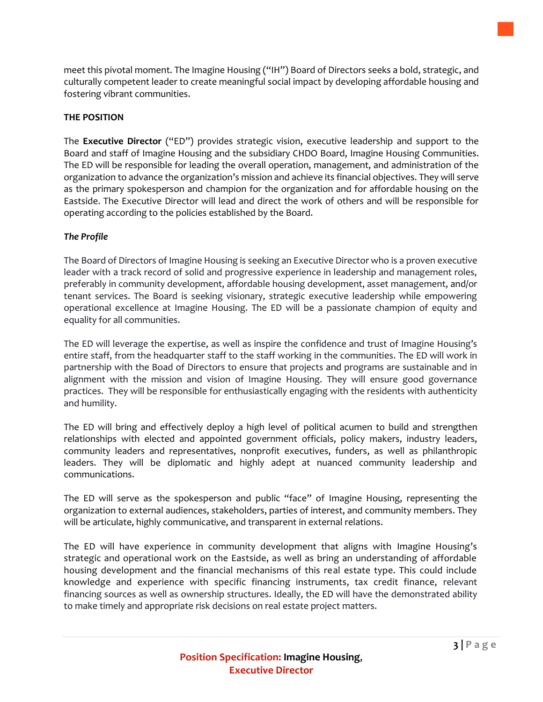meet this pivotal moment. The Imagine Housing ("IH") Board of Directors seeks a bold, strategic, and culturally competent leader to create meaningful social impact by developing affordable housing and fostering vibrant communities.

#### **THE POSITION**

The **Executive Director** ("ED") provides strategic vision, executive leadership and support to the Board and staff of Imagine Housing and the subsidiary CHDO Board, Imagine Housing Communities. The ED will be responsible for leading the overall operation, management, and administration of the organization to advance the organization's mission and achieve its financial objectives. They will serve as the primary spokesperson and champion for the organization and for affordable housing on the Eastside. The Executive Director will lead and direct the work of others and will be responsible for operating according to the policies established by the Board.

#### *The Profile*

The Board of Directors of Imagine Housing is seeking an Executive Director who is a proven executive leader with a track record of solid and progressive experience in leadership and management roles, preferably in community development, affordable housing development, asset management, and/or tenant services. The Board is seeking visionary, strategic executive leadership while empowering operational excellence at Imagine Housing. The ED will be a passionate champion of equity and equality for all communities.

The ED will leverage the expertise, as well as inspire the confidence and trust of Imagine Housing's entire staff, from the headquarter staff to the staff working in the communities. The ED will work in partnership with the Boad of Directors to ensure that projects and programs are sustainable and in alignment with the mission and vision of Imagine Housing. They will ensure good governance practices. They will be responsible for enthusiastically engaging with the residents with authenticity and humility.

The ED will bring and effectively deploy a high level of political acumen to build and strengthen relationships with elected and appointed government officials, policy makers, industry leaders, community leaders and representatives, nonprofit executives, funders, as well as philanthropic leaders. They will be diplomatic and highly adept at nuanced community leadership and communications.

The ED will serve as the spokesperson and public "face" of Imagine Housing, representing the organization to external audiences, stakeholders, parties of interest, and community members. They will be articulate, highly communicative, and transparent in external relations.

The ED will have experience in community development that aligns with Imagine Housing's strategic and operational work on the Eastside, as well as bring an understanding of affordable housing development and the financial mechanisms of this real estate type. This could include knowledge and experience with specific financing instruments, tax credit finance, relevant financing sources as well as ownership structures. Ideally, the ED will have the demonstrated ability to make timely and appropriate risk decisions on real estate project matters.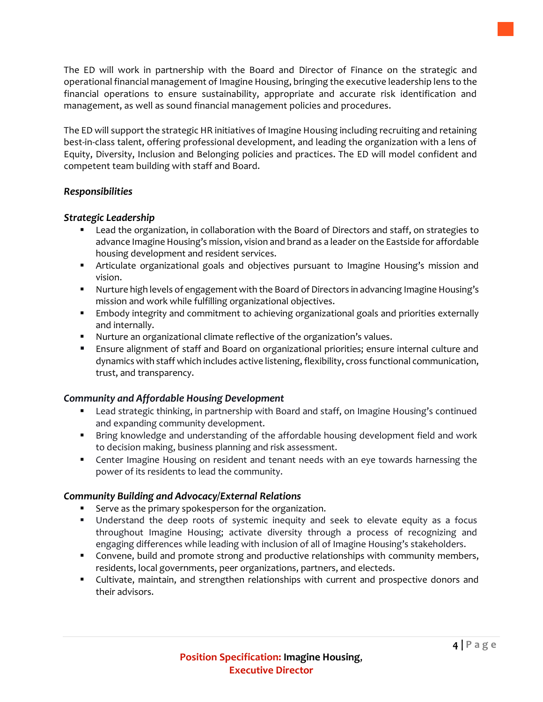The ED will work in partnership with the Board and Director of Finance on the strategic and operational financial management of Imagine Housing, bringing the executive leadership lens to the financial operations to ensure sustainability, appropriate and accurate risk identification and management, as well as sound financial management policies and procedures.

The ED will support the strategic HR initiatives of Imagine Housing including recruiting and retaining best-in-class talent, offering professional development, and leading the organization with a lens of Equity, Diversity, Inclusion and Belonging policies and practices. The ED will model confident and competent team building with staff and Board.

## *Responsibilities*

## *Strategic Leadership*

- Lead the organization, in collaboration with the Board of Directors and staff, on strategies to advance Imagine Housing's mission, vision and brand as a leader on the Eastside for affordable housing development and resident services.
- **■** Articulate organizational goals and objectives pursuant to Imagine Housing's mission and vision.
- Nurture high levels of engagement with the Board of Directors in advancing Imagine Housing's mission and work while fulfilling organizational objectives.
- **Embody integrity and commitment to achieving organizational goals and priorities externally** and internally.
- Nurture an organizational climate reflective of the organization's values.
- Ensure alignment of staff and Board on organizational priorities; ensure internal culture and dynamics with staff which includes active listening, flexibility, cross functional communication, trust, and transparency.

## *Community and Affordable Housing Development*

- Lead strategic thinking, in partnership with Board and staff, on Imagine Housing's continued and expanding community development.
- Bring knowledge and understanding of the affordable housing development field and work to decision making, business planning and risk assessment.
- **•** Center Imagine Housing on resident and tenant needs with an eye towards harnessing the power of its residents to lead the community.

## *Community Building and Advocacy/External Relations*

- Serve as the primary spokesperson for the organization.
- Understand the deep roots of systemic inequity and seek to elevate equity as a focus throughout Imagine Housing; activate diversity through a process of recognizing and engaging differences while leading with inclusion of all of Imagine Housing's stakeholders.
- Convene, build and promote strong and productive relationships with community members, residents, local governments, peer organizations, partners, and electeds.
- Cultivate, maintain, and strengthen relationships with current and prospective donors and their advisors.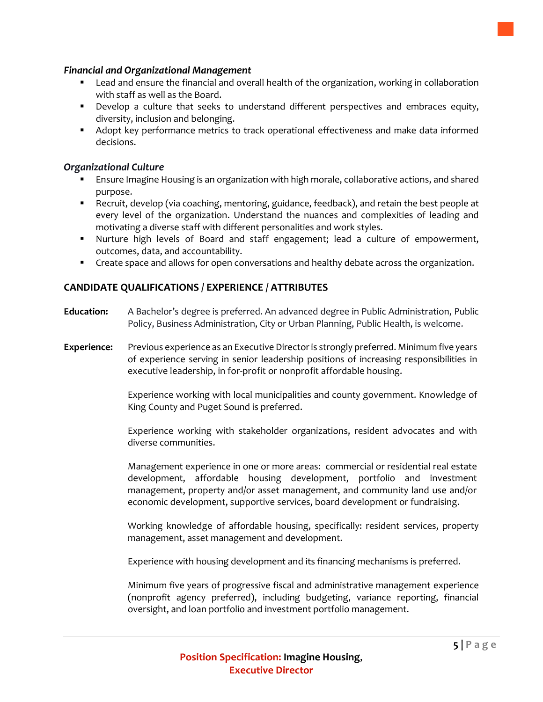#### *Financial and Organizational Management*

- Lead and ensure the financial and overall health of the organization, working in collaboration with staff as well as the Board.
- **•** Develop a culture that seeks to understand different perspectives and embraces equity, diversity, inclusion and belonging.
- **■** Adopt key performance metrics to track operational effectiveness and make data informed decisions.

#### *Organizational Culture*

- Ensure Imagine Housing is an organization with high morale, collaborative actions, and shared purpose.
- Recruit, develop (via coaching, mentoring, guidance, feedback), and retain the best people at every level of the organization. Understand the nuances and complexities of leading and motivating a diverse staff with different personalities and work styles.
- Nurture high levels of Board and staff engagement; lead a culture of empowerment, outcomes, data, and accountability.
- Create space and allows for open conversations and healthy debate across the organization.

## **CANDIDATE QUALIFICATIONS / EXPERIENCE / ATTRIBUTES**

- **Education:** A Bachelor's degree is preferred. An advanced degree in Public Administration, Public Policy, Business Administration, City or Urban Planning, Public Health, is welcome.
- **Experience:** Previous experience as an Executive Director is strongly preferred. Minimum five years of experience serving in senior leadership positions of increasing responsibilities in executive leadership, in for-profit or nonprofit affordable housing.

Experience working with local municipalities and county government. Knowledge of King County and Puget Sound is preferred.

Experience working with stakeholder organizations, resident advocates and with diverse communities.

Management experience in one or more areas: commercial or residential real estate development, affordable housing development, portfolio and investment management, property and/or asset management, and community land use and/or economic development, supportive services, board development or fundraising.

Working knowledge of affordable housing, specifically: resident services, property management, asset management and development.

Experience with housing development and its financing mechanisms is preferred.

Minimum five years of progressive fiscal and administrative management experience (nonprofit agency preferred), including budgeting, variance reporting, financial oversight, and loan portfolio and investment portfolio management.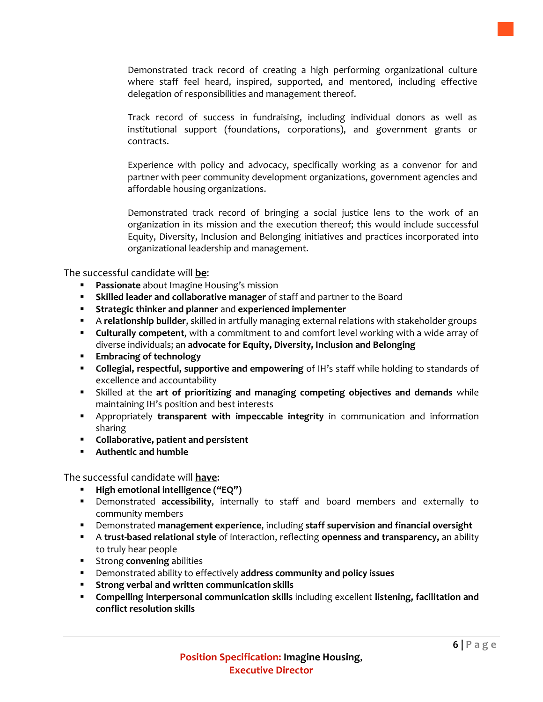Demonstrated track record of creating a high performing organizational culture where staff feel heard, inspired, supported, and mentored, including effective delegation of responsibilities and management thereof.

Track record of success in fundraising, including individual donors as well as institutional support (foundations, corporations), and government grants or contracts.

Experience with policy and advocacy, specifically working as a convenor for and partner with peer community development organizations, government agencies and affordable housing organizations.

Demonstrated track record of bringing a social justice lens to the work of an organization in its mission and the execution thereof; this would include successful Equity, Diversity, Inclusion and Belonging initiatives and practices incorporated into organizational leadership and management.

The successful candidate will **be**:

- Passionate about Imagine Housing's mission
- **EXIMED 15 Skilled leader and collaborative manager** of staff and partner to the Board
- **Strategic thinker and planner** and **experienced implementer**
- A **relationship builder**, skilled in artfully managing external relations with stakeholder groups
- **Culturally competent**, with a commitment to and comfort level working with a wide array of diverse individuals; an **advocate for Equity, Diversity, Inclusion and Belonging**
- **Embracing of technology**
- **Collegial, respectful, supportive and empowering** of IH's staff while holding to standards of excellence and accountability
- Skilled at the **art of prioritizing and managing competing objectives and demands** while maintaining IH's position and best interests
- Appropriately **transparent with impeccable integrity** in communication and information sharing
- **Collaborative, patient and persistent**
- **Authentic and humble**

The successful candidate will **have**:

- **High emotional intelligence ("EQ")**
- Demonstrated **accessibility**, internally to staff and board members and externally to community members
- Demonstrated **management experience**, including **staff supervision and financial oversight**
- A **trust-based relational style** of interaction, reflecting **openness and transparency,** an ability to truly hear people
- Strong **convening** abilities
- Demonstrated ability to effectively **address community and policy issues**
- **Strong verbal and written communication skills**
- **Compelling interpersonal communication skills** including excellent **listening, facilitation and conflict resolution skills**